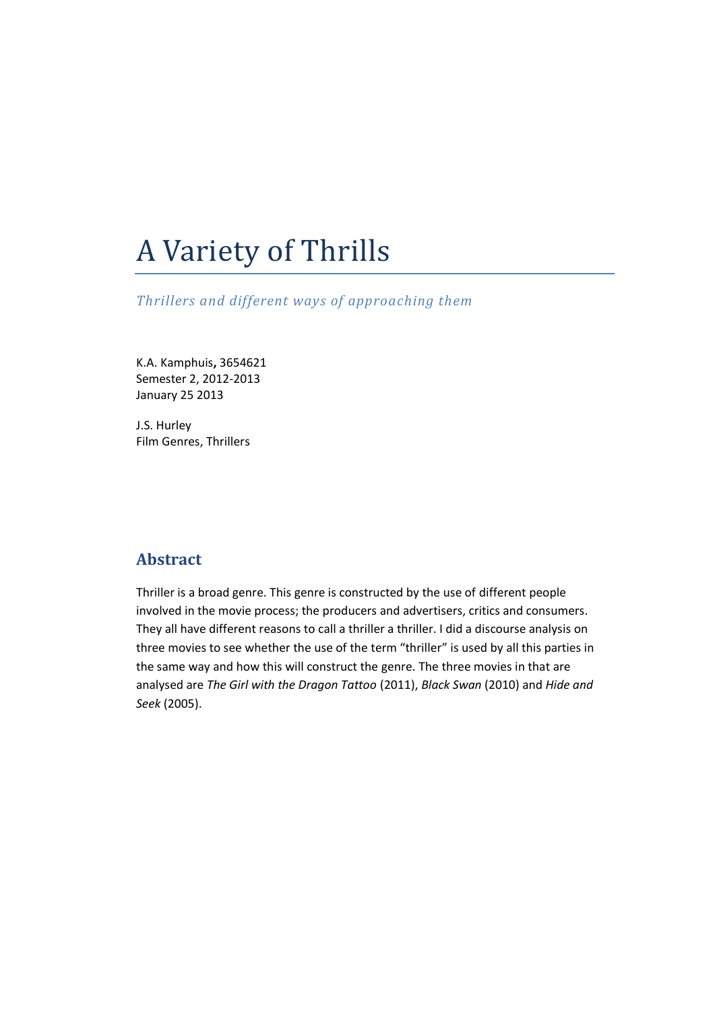# A Variety of Thrills

*Thrillers and different ways of approaching them*

K.A. Kamphuis**,** 3654621 Semester 2, 2012-2013 January 25 2013

J.S. Hurley Film Genres, Thrillers

# **Abstract**

Thriller is a broad genre. This genre is constructed by the use of different people involved in the movie process; the producers and advertisers, critics and consumers. They all have different reasons to call a thriller a thriller. I did a discourse analysis on three movies to see whether the use of the term "thriller" is used by all this parties in the same way and how this will construct the genre. The three movies in that are analysed are *The Girl with the Dragon Tattoo* (2011), *Black Swan* (2010) and *Hide and Seek* (2005).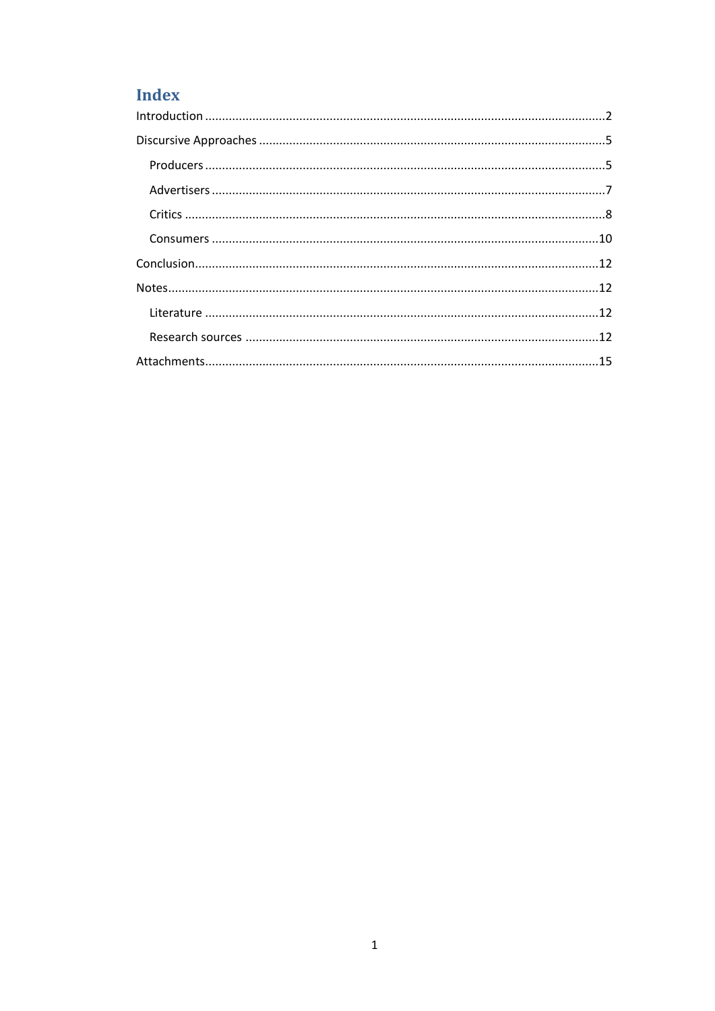# Index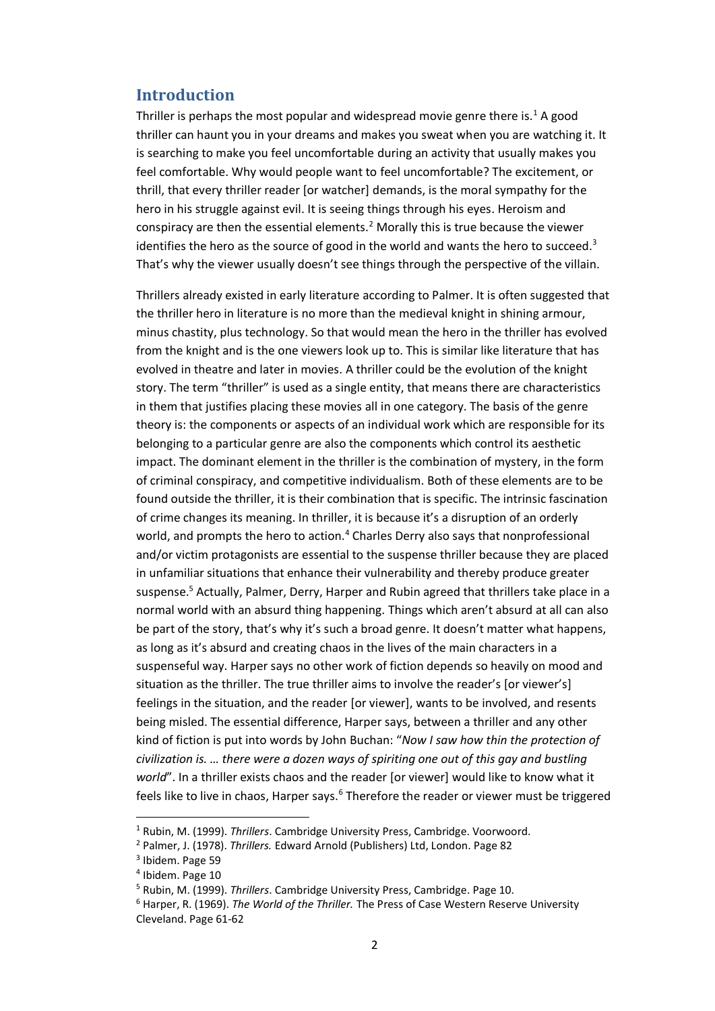# <span id="page-2-0"></span>**Introduction**

Thriller is perhaps the most popular and widespread movie genre there is.<sup>1</sup> A good thriller can haunt you in your dreams and makes you sweat when you are watching it. It is searching to make you feel uncomfortable during an activity that usually makes you feel comfortable. Why would people want to feel uncomfortable? The excitement, or thrill, that every thriller reader [or watcher] demands, is the moral sympathy for the hero in his struggle against evil. It is seeing things through his eyes. Heroism and conspiracy are then the essential elements.<sup>2</sup> Morally this is true because the viewer identifies the hero as the source of good in the world and wants the hero to succeed. $3$ That's why the viewer usually doesn't see things through the perspective of the villain.

Thrillers already existed in early literature according to Palmer. It is often suggested that the thriller hero in literature is no more than the medieval knight in shining armour, minus chastity, plus technology. So that would mean the hero in the thriller has evolved from the knight and is the one viewers look up to. This is similar like literature that has evolved in theatre and later in movies. A thriller could be the evolution of the knight story. The term "thriller" is used as a single entity, that means there are characteristics in them that justifies placing these movies all in one category. The basis of the genre theory is: the components or aspects of an individual work which are responsible for its belonging to a particular genre are also the components which control its aesthetic impact. The dominant element in the thriller is the combination of mystery, in the form of criminal conspiracy, and competitive individualism. Both of these elements are to be found outside the thriller, it is their combination that is specific. The intrinsic fascination of crime changes its meaning. In thriller, it is because it's a disruption of an orderly world, and prompts the hero to action.<sup>4</sup> Charles Derry also says that nonprofessional and/or victim protagonists are essential to the suspense thriller because they are placed in unfamiliar situations that enhance their vulnerability and thereby produce greater suspense.<sup>5</sup> Actually, Palmer, Derry, Harper and Rubin agreed that thrillers take place in a normal world with an absurd thing happening. Things which aren't absurd at all can also be part of the story, that's why it's such a broad genre. It doesn't matter what happens, as long as it's absurd and creating chaos in the lives of the main characters in a suspenseful way. Harper says no other work of fiction depends so heavily on mood and situation as the thriller. The true thriller aims to involve the reader's [or viewer's] feelings in the situation, and the reader [or viewer], wants to be involved, and resents being misled. The essential difference, Harper says, between a thriller and any other kind of fiction is put into words by John Buchan: "*Now I saw how thin the protection of civilization is. … there were a dozen ways of spiriting one out of this gay and bustling world*". In a thriller exists chaos and the reader [or viewer] would like to know what it feels like to live in chaos, Harper says.<sup>6</sup> Therefore the reader or viewer must be triggered

l

<sup>1</sup> Rubin, M. (1999). *Thrillers*. Cambridge University Press, Cambridge. Voorwoord.

<sup>2</sup> Palmer, J. (1978). *Thrillers.* Edward Arnold (Publishers) Ltd, London. Page 82

<sup>&</sup>lt;sup>3</sup> Ibidem. Page 59

<sup>4</sup> Ibidem. Page 10

<sup>5</sup> Rubin, M. (1999). *Thrillers*. Cambridge University Press, Cambridge. Page 10.

<sup>6</sup> Harper, R. (1969). *The World of the Thriller.* The Press of Case Western Reserve University Cleveland. Page 61-62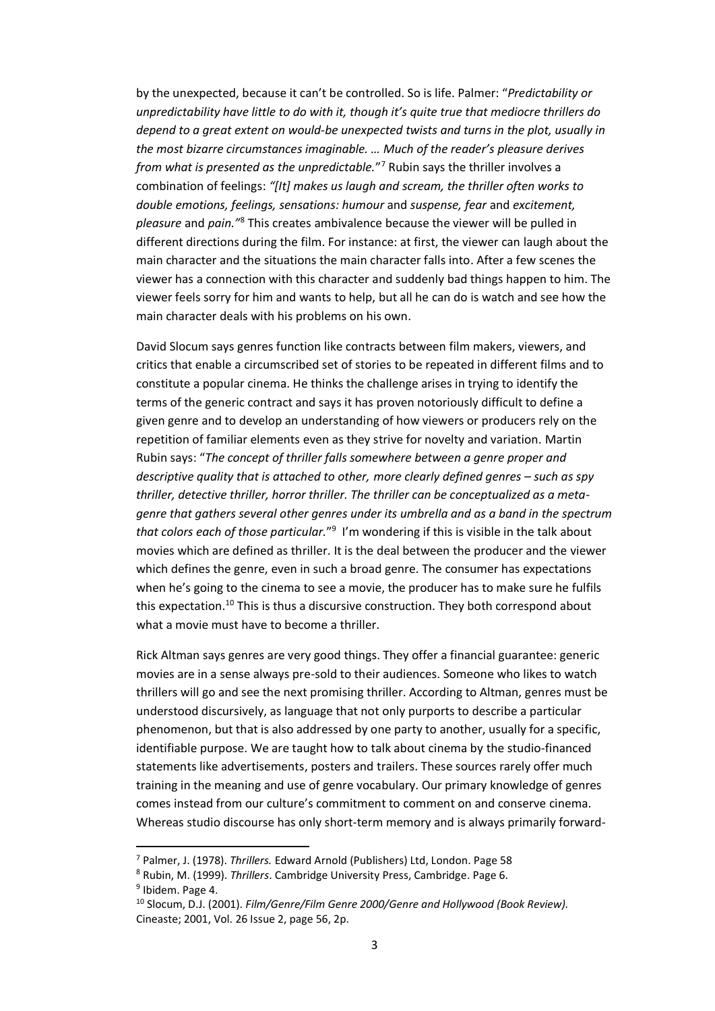by the unexpected, because it can't be controlled. So is life. Palmer: "*Predictability or unpredictability have little to do with it, though it's quite true that mediocre thrillers do depend to a great extent on would-be unexpected twists and turns in the plot, usually in the most bizarre circumstances imaginable. … Much of the reader's pleasure derives from what is presented as the unpredictable.*" <sup>7</sup> Rubin says the thriller involves a combination of feelings: *"[It] makes us laugh and scream, the thriller often works to double emotions, feelings, sensations: humour* and *suspense, fear* and *excitement, pleasure* and *pain."*<sup>8</sup> This creates ambivalence because the viewer will be pulled in different directions during the film. For instance: at first, the viewer can laugh about the main character and the situations the main character falls into. After a few scenes the viewer has a connection with this character and suddenly bad things happen to him. The viewer feels sorry for him and wants to help, but all he can do is watch and see how the main character deals with his problems on his own.

David Slocum says genres function like contracts between film makers, viewers, and critics that enable a circumscribed set of stories to be repeated in different films and to constitute a popular cinema. He thinks the challenge arises in trying to identify the terms of the generic contract and says it has proven notoriously difficult to define a given genre and to develop an understanding of how viewers or producers rely on the repetition of familiar elements even as they strive for novelty and variation. Martin Rubin says: "*The concept of thriller falls somewhere between a genre proper and descriptive quality that is attached to other, more clearly defined genres – such as spy thriller, detective thriller, horror thriller. The thriller can be conceptualized as a metagenre that gathers several other genres under its umbrella and as a band in the spectrum that colors each of those particular.*" 9 I'm wondering if this is visible in the talk about movies which are defined as thriller. It is the deal between the producer and the viewer which defines the genre, even in such a broad genre. The consumer has expectations when he's going to the cinema to see a movie, the producer has to make sure he fulfils this expectation.<sup>10</sup> This is thus a discursive construction. They both correspond about what a movie must have to become a thriller.

Rick Altman says genres are very good things. They offer a financial guarantee: generic movies are in a sense always pre-sold to their audiences. Someone who likes to watch thrillers will go and see the next promising thriller. According to Altman, genres must be understood discursively, as language that not only purports to describe a particular phenomenon, but that is also addressed by one party to another, usually for a specific, identifiable purpose. We are taught how to talk about cinema by the studio-financed statements like advertisements, posters and trailers. These sources rarely offer much training in the meaning and use of genre vocabulary. Our primary knowledge of genres comes instead from our culture's commitment to comment on and conserve cinema. Whereas studio discourse has only short-term memory and is always primarily forward-

l

<sup>7</sup> Palmer, J. (1978). *Thrillers.* Edward Arnold (Publishers) Ltd, London. Page 58

<sup>8</sup> Rubin, M. (1999). *Thrillers*. Cambridge University Press, Cambridge. Page 6. <sup>9</sup> Ibidem. Page 4.

<sup>10</sup> Slocum, D.J. (2001). *Film/Genre/Film Genre 2000/Genre and Hollywood (Book Review).*  Cineaste; 2001, Vol. 26 Issue 2, page 56, 2p.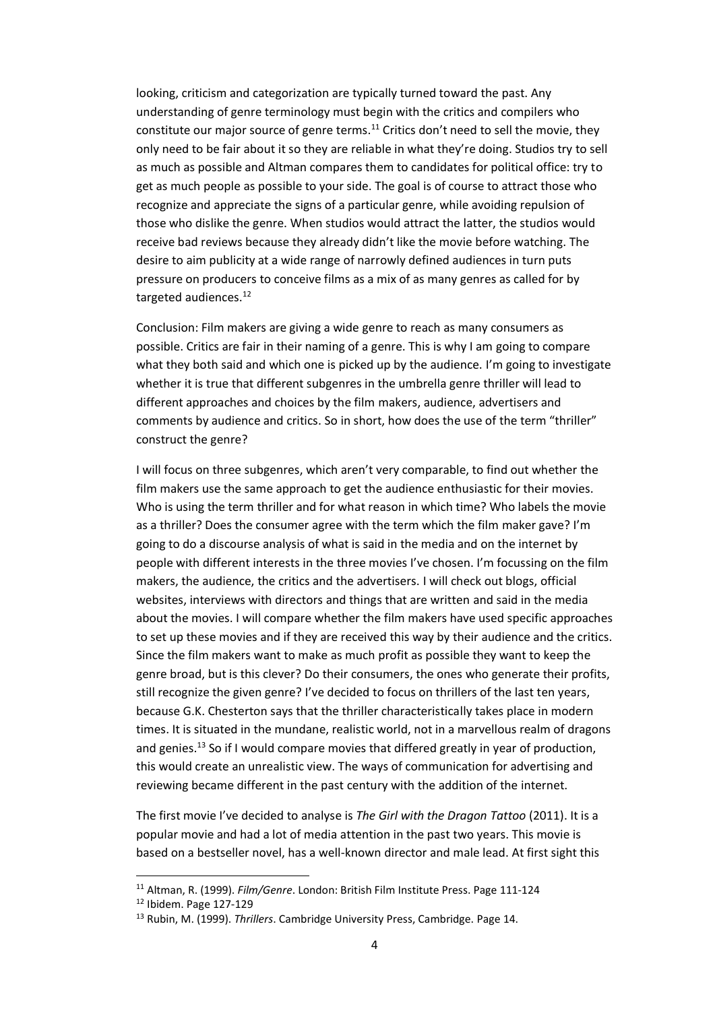looking, criticism and categorization are typically turned toward the past. Any understanding of genre terminology must begin with the critics and compilers who constitute our major source of genre terms.<sup>11</sup> Critics don't need to sell the movie, they only need to be fair about it so they are reliable in what they're doing. Studios try to sell as much as possible and Altman compares them to candidates for political office: try to get as much people as possible to your side. The goal is of course to attract those who recognize and appreciate the signs of a particular genre, while avoiding repulsion of those who dislike the genre. When studios would attract the latter, the studios would receive bad reviews because they already didn't like the movie before watching. The desire to aim publicity at a wide range of narrowly defined audiences in turn puts pressure on producers to conceive films as a mix of as many genres as called for by targeted audiences.<sup>12</sup>

Conclusion: Film makers are giving a wide genre to reach as many consumers as possible. Critics are fair in their naming of a genre. This is why I am going to compare what they both said and which one is picked up by the audience. I'm going to investigate whether it is true that different subgenres in the umbrella genre thriller will lead to different approaches and choices by the film makers, audience, advertisers and comments by audience and critics. So in short, how does the use of the term "thriller" construct the genre?

I will focus on three subgenres, which aren't very comparable, to find out whether the film makers use the same approach to get the audience enthusiastic for their movies. Who is using the term thriller and for what reason in which time? Who labels the movie as a thriller? Does the consumer agree with the term which the film maker gave? I'm going to do a discourse analysis of what is said in the media and on the internet by people with different interests in the three movies I've chosen. I'm focussing on the film makers, the audience, the critics and the advertisers. I will check out blogs, official websites, interviews with directors and things that are written and said in the media about the movies. I will compare whether the film makers have used specific approaches to set up these movies and if they are received this way by their audience and the critics. Since the film makers want to make as much profit as possible they want to keep the genre broad, but is this clever? Do their consumers, the ones who generate their profits, still recognize the given genre? I've decided to focus on thrillers of the last ten years, because G.K. Chesterton says that the thriller characteristically takes place in modern times. It is situated in the mundane, realistic world, not in a marvellous realm of dragons and genies.<sup>13</sup> So if I would compare movies that differed greatly in year of production, this would create an unrealistic view. The ways of communication for advertising and reviewing became different in the past century with the addition of the internet.

The first movie I've decided to analyse is *The Girl with the Dragon Tattoo* (2011). It is a popular movie and had a lot of media attention in the past two years. This movie is based on a bestseller novel, has a well-known director and male lead. At first sight this

 $\overline{a}$ 

<sup>11</sup> Altman, R. (1999). *Film/Genre*. London: British Film Institute Press. Page 111-124

<sup>12</sup> Ibidem. Page 127-129

<sup>13</sup> Rubin, M. (1999). *Thrillers*. Cambridge University Press, Cambridge. Page 14.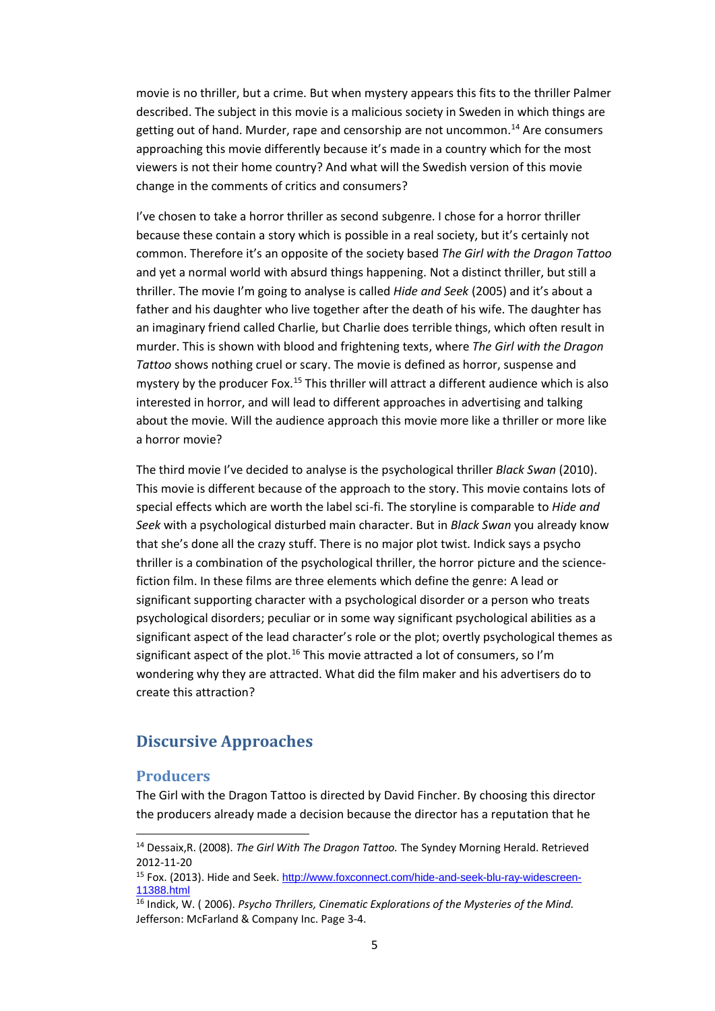movie is no thriller, but a crime. But when mystery appears this fits to the thriller Palmer described. The subject in this movie is a malicious society in Sweden in which things are getting out of hand. Murder, rape and censorship are not uncommon. <sup>14</sup> Are consumers approaching this movie differently because it's made in a country which for the most viewers is not their home country? And what will the Swedish version of this movie change in the comments of critics and consumers?

I've chosen to take a horror thriller as second subgenre. I chose for a horror thriller because these contain a story which is possible in a real society, but it's certainly not common. Therefore it's an opposite of the society based *The Girl with the Dragon Tattoo* and yet a normal world with absurd things happening. Not a distinct thriller, but still a thriller. The movie I'm going to analyse is called *Hide and Seek* (2005) and it's about a father and his daughter who live together after the death of his wife. The daughter has an imaginary friend called Charlie, but Charlie does terrible things, which often result in murder. This is shown with blood and frightening texts, where *The Girl with the Dragon Tattoo* shows nothing cruel or scary. The movie is defined as horror, suspense and mystery by the producer Fox.<sup>15</sup> This thriller will attract a different audience which is also interested in horror, and will lead to different approaches in advertising and talking about the movie. Will the audience approach this movie more like a thriller or more like a horror movie?

The third movie I've decided to analyse is the psychological thriller *Black Swan* (2010). This movie is different because of the approach to the story. This movie contains lots of special effects which are worth the label sci-fi. The storyline is comparable to *Hide and Seek* with a psychological disturbed main character. But in *Black Swan* you already know that she's done all the crazy stuff. There is no major plot twist. Indick says a psycho thriller is a combination of the psychological thriller, the horror picture and the sciencefiction film. In these films are three elements which define the genre: A lead or significant supporting character with a psychological disorder or a person who treats psychological disorders; peculiar or in some way significant psychological abilities as a significant aspect of the lead character's role or the plot; overtly psychological themes as significant aspect of the plot.<sup>16</sup> This movie attracted a lot of consumers, so I'm wondering why they are attracted. What did the film maker and his advertisers do to create this attraction?

# <span id="page-5-0"></span>**Discursive Approaches**

### <span id="page-5-1"></span>**Producers**

 $\overline{a}$ 

The Girl with the Dragon Tattoo is directed by David Fincher. By choosing this director the producers already made a decision because the director has a reputation that he

<sup>14</sup> Dessaix,R. (2008). *The Girl With The Dragon Tattoo.* The Syndey Morning Herald. Retrieved 2012-11-20

<sup>15</sup> Fox. (2013). Hide and Seek. [http://www.foxconnect.com/hide-and-seek-blu-ray-widescreen-](http://www.foxconnect.com/hide-and-seek-blu-ray-widescreen-11388.html)[11388.html](http://www.foxconnect.com/hide-and-seek-blu-ray-widescreen-11388.html)

<sup>16</sup> Indick, W. ( 2006). *Psycho Thrillers, Cinematic Explorations of the Mysteries of the Mind.*  Jefferson: McFarland & Company Inc. Page 3-4.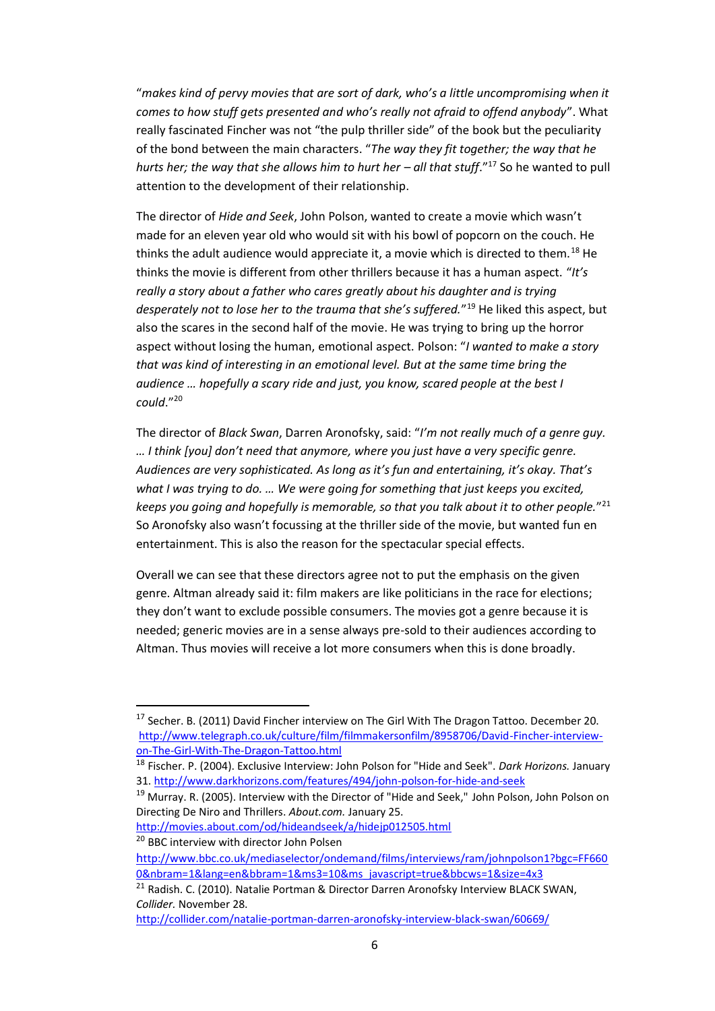"*makes kind of pervy movies that are sort of dark, who's a little uncompromising when it comes to how stuff gets presented and who's really not afraid to offend anybody*". What really fascinated Fincher was not "the pulp thriller side" of the book but the peculiarity of the bond between the main characters. "*The way they fit together; the way that he hurts her; the way that she allows him to hurt her – all that stuff."<sup>17</sup> So he wanted to pull* attention to the development of their relationship.

The director of *Hide and Seek*, John Polson, wanted to create a movie which wasn't made for an eleven year old who would sit with his bowl of popcorn on the couch. He thinks the adult audience would appreciate it, a movie which is directed to them.<sup>18</sup> He thinks the movie is different from other thrillers because it has a human aspect. "*It's really a story about a father who cares greatly about his daughter and is trying desperately not to lose her to the trauma that she's suffered.*" <sup>19</sup> He liked this aspect, but also the scares in the second half of the movie. He was trying to bring up the horror aspect without losing the human, emotional aspect. Polson: "*I wanted to make a story that was kind of interesting in an emotional level. But at the same time bring the audience … hopefully a scary ride and just, you know, scared people at the best I could*."<sup>20</sup>

The director of *Black Swan*, Darren Aronofsky, said: "*I'm not really much of a genre guy. … I think [you] don't need that anymore, where you just have a very specific genre. Audiences are very sophisticated. As long as it's fun and entertaining, it's okay. That's what I was trying to do. … We were going for something that just keeps you excited, keeps you going and hopefully is memorable, so that you talk about it to other people.*" 21 So Aronofsky also wasn't focussing at the thriller side of the movie, but wanted fun en entertainment. This is also the reason for the spectacular special effects.

Overall we can see that these directors agree not to put the emphasis on the given genre. Altman already said it: film makers are like politicians in the race for elections; they don't want to exclude possible consumers. The movies got a genre because it is needed; generic movies are in a sense always pre-sold to their audiences according to Altman. Thus movies will receive a lot more consumers when this is done broadly.

<http://movies.about.com/od/hideandseek/a/hidejp012505.html> <sup>20</sup> BBC interview with director John Polsen

 $\overline{a}$ 

<http://collider.com/natalie-portman-darren-aronofsky-interview-black-swan/60669/>

<sup>&</sup>lt;sup>17</sup> Secher. B. (2011) David Fincher interview on The Girl With The Dragon Tattoo. December 20. [http://www.telegraph.co.uk/culture/film/filmmakersonfilm/8958706/David-Fincher-interview](http://www.telegraph.co.uk/culture/film/filmmakersonfilm/8958706/David-Fincher-interview-on-The-Girl-With-The-Dragon-Tattoo.html)[on-The-Girl-With-The-Dragon-Tattoo.html](http://www.telegraph.co.uk/culture/film/filmmakersonfilm/8958706/David-Fincher-interview-on-The-Girl-With-The-Dragon-Tattoo.html)

<sup>18</sup> Fischer. P. (2004). Exclusive Interview: John Polson for "Hide and Seek". *Dark Horizons.* January 31. <http://www.darkhorizons.com/features/494/john-polson-for-hide-and-seek>

<sup>&</sup>lt;sup>19</sup> Murray. R. (2005). Interview with the Director of "Hide and Seek," John Polson, John Polson on Directing De Niro and Thrillers. *About.com.* January 25.

h[ttp://www.bbc.co.uk/mediaselector/ondemand/films/interviews/ram/johnpolson1?bgc=FF660](http://www.bbc.co.uk/mediaselector/ondemand/films/interviews/ram/johnpolson1?bgc=FF6600&nbram=1&lang=en&bbram=1&ms3=10&ms_javascript=true&bbcws=1&size=4x3) [0&nbram=1&lang=en&bbram=1&ms3=10&ms\\_javascript=true&bbcws=1&size=4x3](http://www.bbc.co.uk/mediaselector/ondemand/films/interviews/ram/johnpolson1?bgc=FF6600&nbram=1&lang=en&bbram=1&ms3=10&ms_javascript=true&bbcws=1&size=4x3)

<sup>&</sup>lt;sup>21</sup> Radish. C. (2010). Natalie Portman & Director Darren Aronofsky Interview BLACK SWAN, *Collider.* November 28.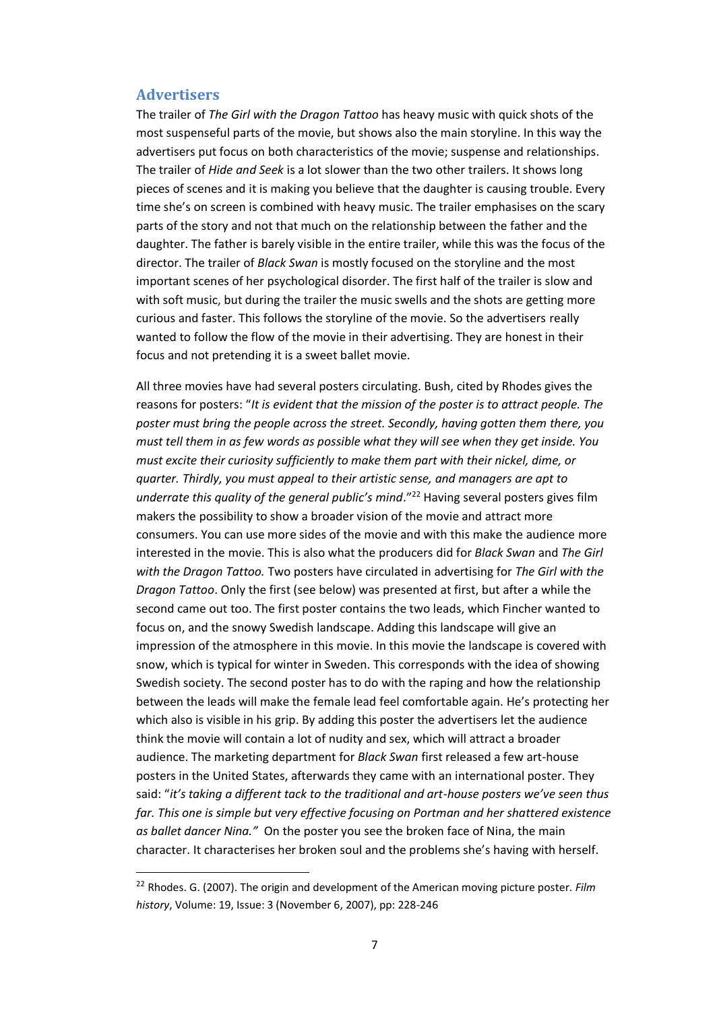#### <span id="page-7-0"></span>**Advertisers**

 $\overline{a}$ 

The trailer of *The Girl with the Dragon Tattoo* has heavy music with quick shots of the most suspenseful parts of the movie, but shows also the main storyline. In this way the advertisers put focus on both characteristics of the movie; suspense and relationships. The trailer of *Hide and Seek* is a lot slower than the two other trailers. It shows long pieces of scenes and it is making you believe that the daughter is causing trouble. Every time she's on screen is combined with heavy music. The trailer emphasises on the scary parts of the story and not that much on the relationship between the father and the daughter. The father is barely visible in the entire trailer, while this was the focus of the director. The trailer of *Black Swan* is mostly focused on the storyline and the most important scenes of her psychological disorder. The first half of the trailer is slow and with soft music, but during the trailer the music swells and the shots are getting more curious and faster. This follows the storyline of the movie. So the advertisers really wanted to follow the flow of the movie in their advertising. They are honest in their focus and not pretending it is a sweet ballet movie.

All three movies have had several posters circulating. Bush, cited by Rhodes gives the reasons for posters: "*It is evident that the mission of the poster is to attract people. The poster must bring the people across the street. Secondly, having gotten them there, you must tell them in as few words as possible what they will see when they get inside. You must excite their curiosity sufficiently to make them part with their nickel, dime, or quarter. Thirdly, you must appeal to their artistic sense, and managers are apt to underrate this quality of the general public's mind."*<sup>22</sup> Having several posters gives film makers the possibility to show a broader vision of the movie and attract more consumers. You can use more sides of the movie and with this make the audience more interested in the movie. This is also what the producers did for *Black Swan* and *The Girl with the Dragon Tattoo.* Two posters have circulated in advertising for *The Girl with the Dragon Tattoo*. Only the first (see below) was presented at first, but after a while the second came out too. The first poster contains the two leads, which Fincher wanted to focus on, and the snowy Swedish landscape. Adding this landscape will give an impression of the atmosphere in this movie. In this movie the landscape is covered with snow, which is typical for winter in Sweden. This corresponds with the idea of showing Swedish society. The second poster has to do with the raping and how the relationship between the leads will make the female lead feel comfortable again. He's protecting her which also is visible in his grip. By adding this poster the advertisers let the audience think the movie will contain a lot of nudity and sex, which will attract a broader audience. The marketing department for *Black Swan* first released a few art-house posters in the United States, afterwards they came with an international poster. They said: "*it's taking a different tack to the traditional and art-house posters we've seen thus far. This one is simple but very effective focusing on Portman and her shattered existence as ballet dancer Nina."* On the poster you see the broken face of Nina, the main character. It characterises her broken soul and the problems she's having with herself.

<sup>22</sup> Rhodes. G. (2007). The origin and development of the American moving picture poster. *[Film](javascript:registerClick()  [history](javascript:registerClick()*, Volume: 19, Issue: 3 (November 6, 2007), pp: 228-246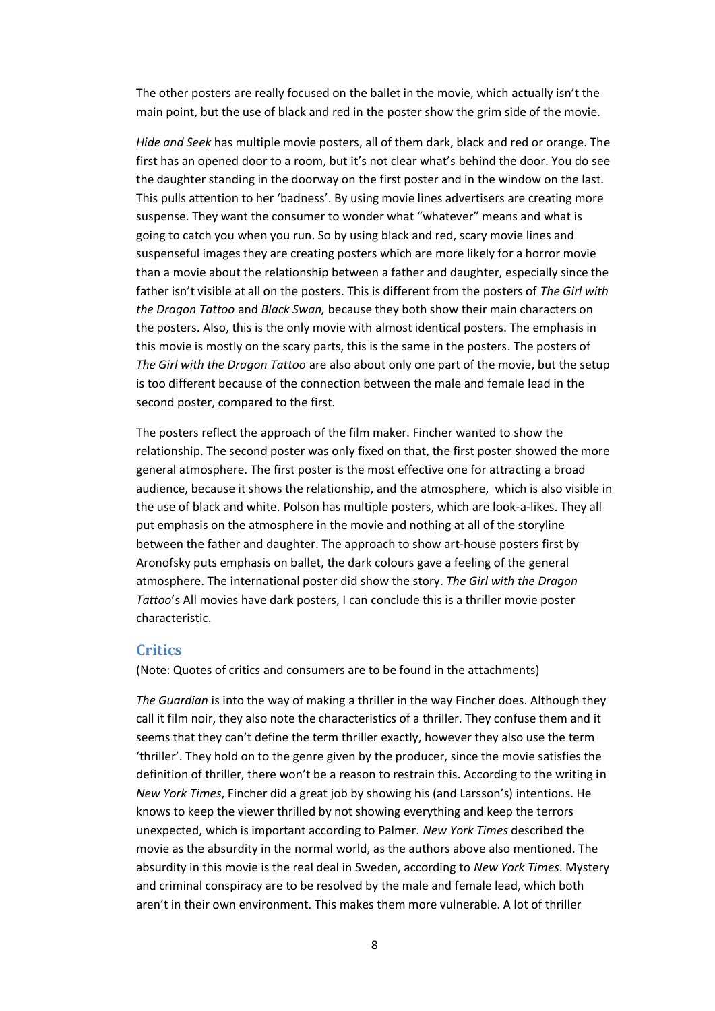The other posters are really focused on the ballet in the movie, which actually isn't the main point, but the use of black and red in the poster show the grim side of the movie.

*Hide and Seek* has multiple movie posters, all of them dark, black and red or orange. The first has an opened door to a room, but it's not clear what's behind the door. You do see the daughter standing in the doorway on the first poster and in the window on the last. This pulls attention to her 'badness'. By using movie lines advertisers are creating more suspense. They want the consumer to wonder what "whatever" means and what is going to catch you when you run. So by using black and red, scary movie lines and suspenseful images they are creating posters which are more likely for a horror movie than a movie about the relationship between a father and daughter, especially since the father isn't visible at all on the posters. This is different from the posters of *The Girl with the Dragon Tattoo* and *Black Swan,* because they both show their main characters on the posters. Also, this is the only movie with almost identical posters. The emphasis in this movie is mostly on the scary parts, this is the same in the posters. The posters of *The Girl with the Dragon Tattoo* are also about only one part of the movie, but the setup is too different because of the connection between the male and female lead in the second poster, compared to the first.

The posters reflect the approach of the film maker. Fincher wanted to show the relationship. The second poster was only fixed on that, the first poster showed the more general atmosphere. The first poster is the most effective one for attracting a broad audience, because it shows the relationship, and the atmosphere, which is also visible in the use of black and white. Polson has multiple posters, which are look-a-likes. They all put emphasis on the atmosphere in the movie and nothing at all of the storyline between the father and daughter. The approach to show art-house posters first by Aronofsky puts emphasis on ballet, the dark colours gave a feeling of the general atmosphere. The international poster did show the story. *The Girl with the Dragon Tattoo*'s All movies have dark posters, I can conclude this is a thriller movie poster characteristic.

#### <span id="page-8-0"></span>**Critics**

(Note: Quotes of critics and consumers are to be found in the attachments)

*The Guardian* is into the way of making a thriller in the way Fincher does. Although they call it film noir, they also note the characteristics of a thriller. They confuse them and it seems that they can't define the term thriller exactly, however they also use the term 'thriller'. They hold on to the genre given by the producer, since the movie satisfies the definition of thriller, there won't be a reason to restrain this. According to the writing in *New York Times*, Fincher did a great job by showing his (and Larsson's) intentions. He knows to keep the viewer thrilled by not showing everything and keep the terrors unexpected, which is important according to Palmer. *New York Times* described the movie as the absurdity in the normal world, as the authors above also mentioned. The absurdity in this movie is the real deal in Sweden, according to *New York Times*. Mystery and criminal conspiracy are to be resolved by the male and female lead, which both aren't in their own environment. This makes them more vulnerable. A lot of thriller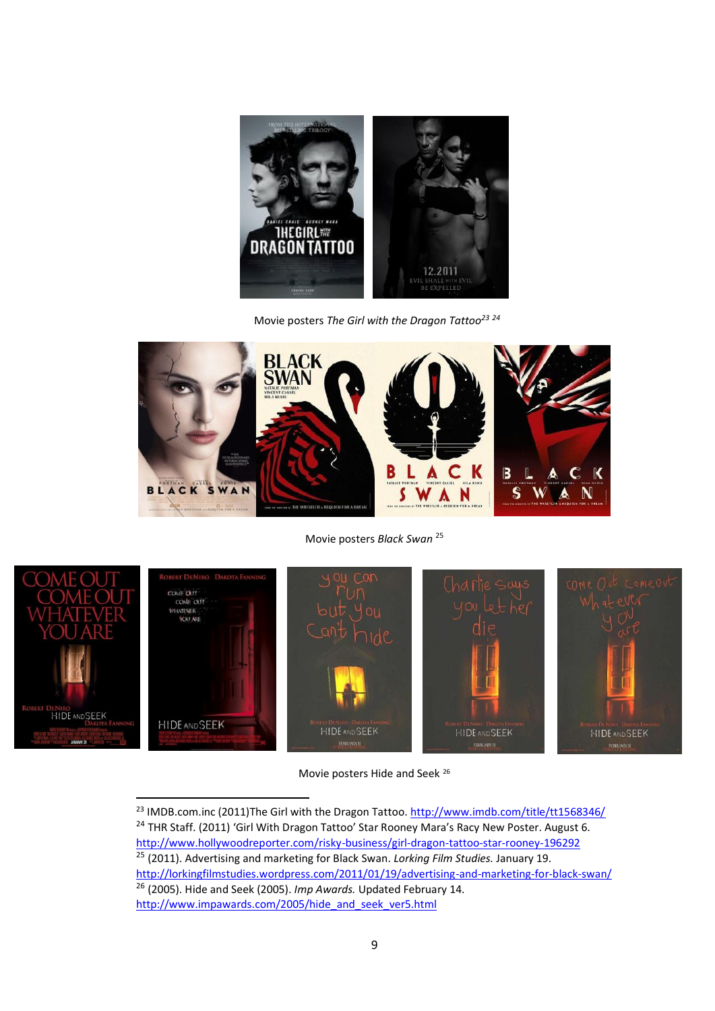

Movie posters *The Girl with the Dragon Tattoo<sup>23</sup> <sup>24</sup>*



Movie posters *Black Swan* <sup>25</sup>



 $\overline{a}$ 

Movie posters Hide and Seek <sup>26</sup>

<sup>23</sup> IMDB.com.inc (2011)The Girl with the Dragon Tattoo[. http://www.imdb.com/title/tt1568346/](http://www.imdb.com/title/tt1568346/) <sup>24</sup> THR Staff. (2011) 'Girl With Dragon Tattoo' Star Rooney Mara's Racy New Poster. August 6. <http://www.hollywoodreporter.com/risky-business/girl-dragon-tattoo-star-rooney-196292> <sup>25</sup> (2011). [Advertising and marketing for Black](http://lorkingfilmstudies.wordpress.com/2011/01/19/advertising-and-marketing-for-black-swan/) Swan. *Lorking Film Studies.* January 19. <http://lorkingfilmstudies.wordpress.com/2011/01/19/advertising-and-marketing-for-black-swan/> <sup>26</sup> (2005). Hide and Seek (2005). *Imp Awards.* Updated February 14. [http://www.impawards.com/2005/hide\\_and\\_seek\\_ver5.html](http://www.impawards.com/2005/hide_and_seek_ver5.html)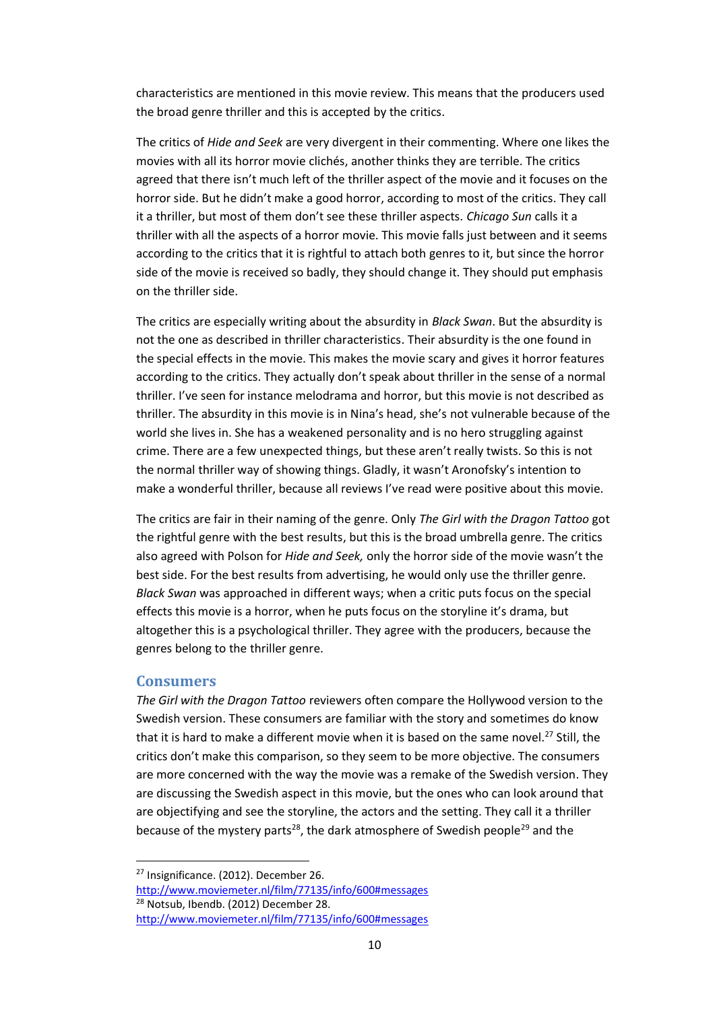characteristics are mentioned in this movie review. This means that the producers used the broad genre thriller and this is accepted by the critics.

The critics of *Hide and Seek* are very divergent in their commenting. Where one likes the movies with all its horror movie clichés, another thinks they are terrible. The critics agreed that there isn't much left of the thriller aspect of the movie and it focuses on the horror side. But he didn't make a good horror, according to most of the critics. They call it a thriller, but most of them don't see these thriller aspects. *Chicago Sun* calls it a thriller with all the aspects of a horror movie. This movie falls just between and it seems according to the critics that it is rightful to attach both genres to it, but since the horror side of the movie is received so badly, they should change it. They should put emphasis on the thriller side.

The critics are especially writing about the absurdity in *Black Swan*. But the absurdity is not the one as described in thriller characteristics. Their absurdity is the one found in the special effects in the movie. This makes the movie scary and gives it horror features according to the critics. They actually don't speak about thriller in the sense of a normal thriller. I've seen for instance melodrama and horror, but this movie is not described as thriller. The absurdity in this movie is in Nina's head, she's not vulnerable because of the world she lives in. She has a weakened personality and is no hero struggling against crime. There are a few unexpected things, but these aren't really twists. So this is not the normal thriller way of showing things. Gladly, it wasn't Aronofsky's intention to make a wonderful thriller, because all reviews I've read were positive about this movie.

The critics are fair in their naming of the genre. Only *The Girl with the Dragon Tattoo* got the rightful genre with the best results, but this is the broad umbrella genre. The critics also agreed with Polson for *Hide and Seek,* only the horror side of the movie wasn't the best side. For the best results from advertising, he would only use the thriller genre. *Black Swan* was approached in different ways; when a critic puts focus on the special effects this movie is a horror, when he puts focus on the storyline it's drama, but altogether this is a psychological thriller. They agree with the producers, because the genres belong to the thriller genre.

#### <span id="page-10-0"></span>**Consumers**

 $\overline{a}$ 

*The Girl with the Dragon Tattoo* reviewers often compare the Hollywood version to the Swedish version. These consumers are familiar with the story and sometimes do know that it is hard to make a different movie when it is based on the same novel.<sup>27</sup> Still, the critics don't make this comparison, so they seem to be more objective. The consumers are more concerned with the way the movie was a remake of the Swedish version. They are discussing the Swedish aspect in this movie, but the ones who can look around that are objectifying and see the storyline, the actors and the setting. They call it a thriller because of the mystery parts<sup>28</sup>, the dark atmosphere of Swedish people<sup>29</sup> and the

<sup>&</sup>lt;sup>27</sup> Insignificance. (2012). December 26.

<http://www.moviemeter.nl/film/77135/info/600#messages> <sup>28</sup> Notsub, Ibendb. (2012) December 28.

<http://www.moviemeter.nl/film/77135/info/600#messages>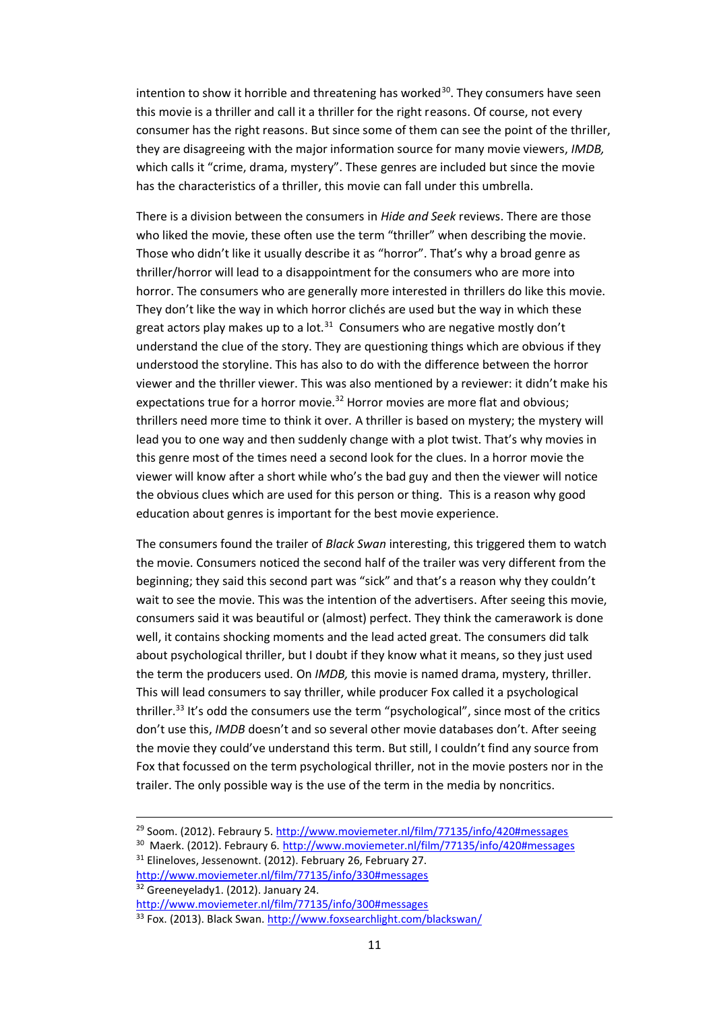intention to show it horrible and threatening has worked $30$ . They consumers have seen this movie is a thriller and call it a thriller for the right reasons. Of course, not every consumer has the right reasons. But since some of them can see the point of the thriller, they are disagreeing with the major information source for many movie viewers, *IMDB,*  which calls it "crime, drama, mystery". These genres are included but since the movie has the characteristics of a thriller, this movie can fall under this umbrella.

There is a division between the consumers in *Hide and Seek* reviews. There are those who liked the movie, these often use the term "thriller" when describing the movie. Those who didn't like it usually describe it as "horror". That's why a broad genre as thriller/horror will lead to a disappointment for the consumers who are more into horror. The consumers who are generally more interested in thrillers do like this movie. They don't like the way in which horror clichés are used but the way in which these great actors play makes up to a lot.<sup>31</sup> Consumers who are negative mostly don't understand the clue of the story. They are questioning things which are obvious if they understood the storyline. This has also to do with the difference between the horror viewer and the thriller viewer. This was also mentioned by a reviewer: it didn't make his expectations true for a horror movie.<sup>32</sup> Horror movies are more flat and obvious; thrillers need more time to think it over. A thriller is based on mystery; the mystery will lead you to one way and then suddenly change with a plot twist. That's why movies in this genre most of the times need a second look for the clues. In a horror movie the viewer will know after a short while who's the bad guy and then the viewer will notice the obvious clues which are used for this person or thing. This is a reason why good education about genres is important for the best movie experience.

The consumers found the trailer of *Black Swan* interesting, this triggered them to watch the movie. Consumers noticed the second half of the trailer was very different from the beginning; they said this second part was "sick" and that's a reason why they couldn't wait to see the movie. This was the intention of the advertisers. After seeing this movie, consumers said it was beautiful or (almost) perfect. They think the camerawork is done well, it contains shocking moments and the lead acted great. The consumers did talk about psychological thriller, but I doubt if they know what it means, so they just used the term the producers used. On *IMDB,* this movie is named drama, mystery, thriller. This will lead consumers to say thriller, while producer Fox called it a psychological thriller.<sup>33</sup> It's odd the consumers use the term "psychological", since most of the critics don't use this, *IMDB* doesn't and so several other movie databases don't. After seeing the movie they could've understand this term. But still, I couldn't find any source from Fox that focussed on the term psychological thriller, not in the movie posters nor in the trailer. The only possible way is the use of the term in the media by noncritics.

<sup>31</sup> Elineloves, Jessenownt. (2012). February 26, February 27. <http://www.moviemeter.nl/film/77135/info/330#messages> <sup>32</sup> Greeneyelady1. (2012). January 24.

l

<sup>&</sup>lt;sup>29</sup> Soom. (2012). Febraury 5. <http://www.moviemeter.nl/film/77135/info/420#messages>

<sup>&</sup>lt;sup>30</sup> Maerk. (2012). Febraury 6. <http://www.moviemeter.nl/film/77135/info/420#messages>

<http://www.moviemeter.nl/film/77135/info/300#messages>

<sup>33</sup> Fox. (2013). Black Swan[. http://www.foxsearchlight.com/blackswan/](http://www.foxsearchlight.com/blackswan/)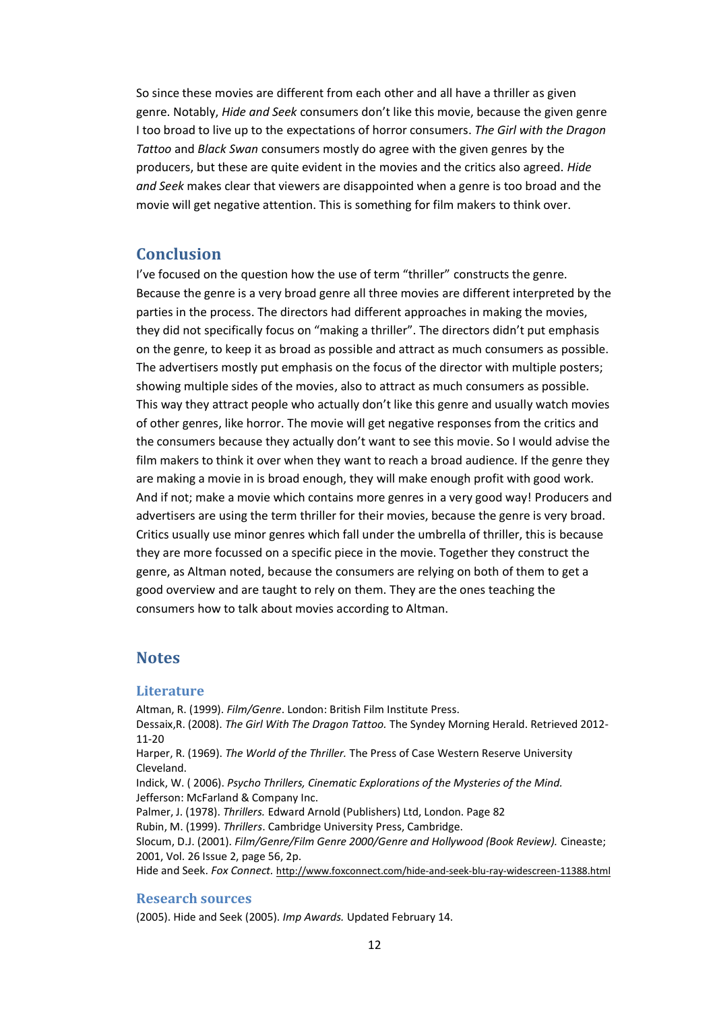So since these movies are different from each other and all have a thriller as given genre. Notably, *Hide and Seek* consumers don't like this movie, because the given genre I too broad to live up to the expectations of horror consumers. *The Girl with the Dragon Tattoo* and *Black Swan* consumers mostly do agree with the given genres by the producers, but these are quite evident in the movies and the critics also agreed. *Hide and Seek* makes clear that viewers are disappointed when a genre is too broad and the movie will get negative attention. This is something for film makers to think over.

# <span id="page-12-0"></span>**Conclusion**

I've focused on the question how the use of term "thriller" constructs the genre. Because the genre is a very broad genre all three movies are different interpreted by the parties in the process. The directors had different approaches in making the movies, they did not specifically focus on "making a thriller". The directors didn't put emphasis on the genre, to keep it as broad as possible and attract as much consumers as possible. The advertisers mostly put emphasis on the focus of the director with multiple posters; showing multiple sides of the movies, also to attract as much consumers as possible. This way they attract people who actually don't like this genre and usually watch movies of other genres, like horror. The movie will get negative responses from the critics and the consumers because they actually don't want to see this movie. So I would advise the film makers to think it over when they want to reach a broad audience. If the genre they are making a movie in is broad enough, they will make enough profit with good work. And if not; make a movie which contains more genres in a very good way! Producers and advertisers are using the term thriller for their movies, because the genre is very broad. Critics usually use minor genres which fall under the umbrella of thriller, this is because they are more focussed on a specific piece in the movie. Together they construct the genre, as Altman noted, because the consumers are relying on both of them to get a good overview and are taught to rely on them. They are the ones teaching the consumers how to talk about movies according to Altman.

# <span id="page-12-1"></span>**Notes**

#### <span id="page-12-2"></span>**Literature**

Altman, R. (1999). *Film/Genre*. London: British Film Institute Press.

Dessaix,R. (2008). *The Girl With The Dragon Tattoo.* The Syndey Morning Herald. Retrieved 2012- 11-20

Harper, R. (1969). *The World of the Thriller.* The Press of Case Western Reserve University Cleveland.

Indick, W. ( 2006). *Psycho Thrillers, Cinematic Explorations of the Mysteries of the Mind.*  Jefferson: McFarland & Company Inc.

Palmer, J. (1978). *Thrillers.* Edward Arnold (Publishers) Ltd, London. Page 82

Rubin, M. (1999). *Thrillers*. Cambridge University Press, Cambridge.

Slocum, D.J. (2001). *Film/Genre/Film Genre 2000/Genre and Hollywood (Book Review).* Cineaste; 2001, Vol. 26 Issue 2, page 56, 2p.

<span id="page-12-3"></span>Hide and Seek. *Fox Connect.* <http://www.foxconnect.com/hide-and-seek-blu-ray-widescreen-11388.html>

#### **Research sources**

(2005). Hide and Seek (2005). *Imp Awards.* Updated February 14.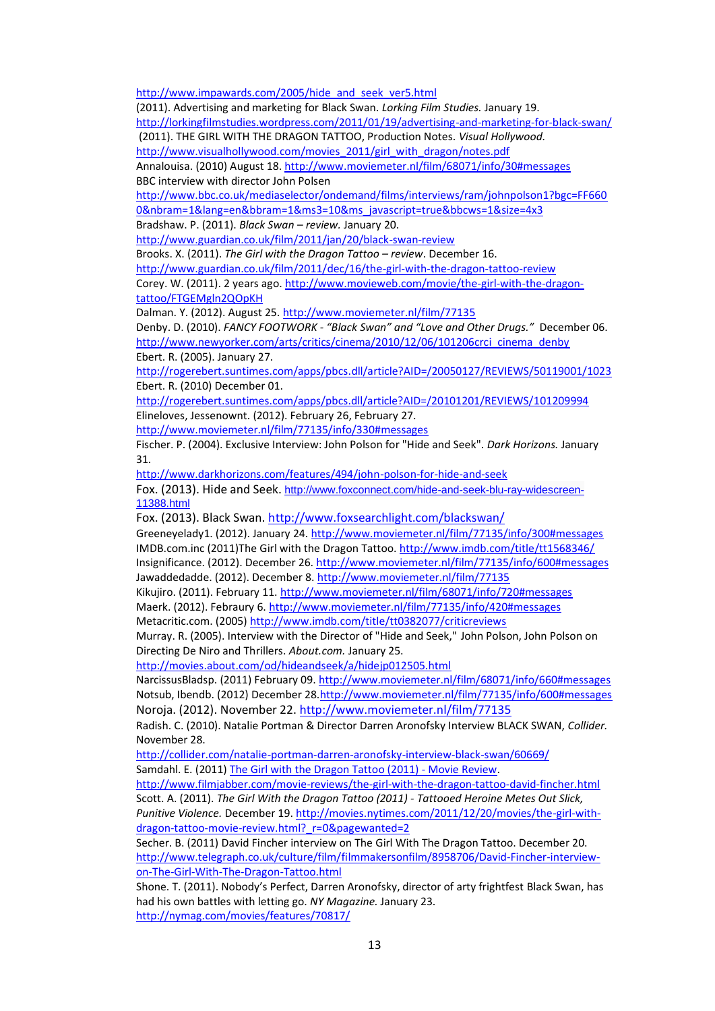[http://www.impawards.com/2005/hide\\_and\\_seek\\_ver5.html](http://www.impawards.com/2005/hide_and_seek_ver5.html)

(2011)[. Advertising and marketing for Black](http://lorkingfilmstudies.wordpress.com/2011/01/19/advertising-and-marketing-for-black-swan/) Swan. *Lorking Film Studies.* January 19. <http://lorkingfilmstudies.wordpress.com/2011/01/19/advertising-and-marketing-for-black-swan/>

(2011). THE GIRL WITH THE DRAGON TATTOO, Production Notes. *Visual Hollywood.* 

[http://www.visualhollywood.com/movies\\_2011/girl\\_with\\_dragon/notes.pdf](http://www.visualhollywood.com/movies_2011/girl_with_dragon/notes.pdf)

Annalouisa. (2010) August 18. <http://www.moviemeter.nl/film/68071/info/30#messages> BBC interview with director John Polsen

[http://www.bbc.co.uk/mediaselector/ondemand/films/interviews/ram/johnpolson1?bgc=FF660](http://www.bbc.co.uk/mediaselector/ondemand/films/interviews/ram/johnpolson1?bgc=FF6600&nbram=1&lang=en&bbram=1&ms3=10&ms_javascript=true&bbcws=1&size=4x3) [0&nbram=1&lang=en&bbram=1&ms3=10&ms\\_javascript=true&bbcws=1&size=4x3](http://www.bbc.co.uk/mediaselector/ondemand/films/interviews/ram/johnpolson1?bgc=FF6600&nbram=1&lang=en&bbram=1&ms3=10&ms_javascript=true&bbcws=1&size=4x3)

Bradshaw. P. (2011). *Black Swan – review.* January 20.

<http://www.guardian.co.uk/film/2011/jan/20/black-swan-review>

Brooks. X. (2011). *The Girl with the Dragon Tattoo – review*. December 16.

<http://www.guardian.co.uk/film/2011/dec/16/the-girl-with-the-dragon-tattoo-review> Corey. W. (2011). 2 years ago[. http://www.movieweb.com/movie/the-girl-with-the-dragon](http://www.movieweb.com/movie/the-girl-with-the-dragon-tattoo/FTGEMgln2QOpKH)[tattoo/FTGEMgln2QOpKH](http://www.movieweb.com/movie/the-girl-with-the-dragon-tattoo/FTGEMgln2QOpKH)

Dalman. Y. (2012). August 25[. http://www.moviemeter.nl/film/77135](http://www.moviemeter.nl/film/77135)

Denby. D. (2010). *FANCY FOOTWORK - "Black Swan" and "Love and Other Drugs."* December 06. [http://www.newyorker.com/arts/critics/cinema/2010/12/06/101206crci\\_cinema\\_denby](http://www.newyorker.com/arts/critics/cinema/2010/12/06/101206crci_cinema_denby) Ebert. R. (2005). January 27.

<http://rogerebert.suntimes.com/apps/pbcs.dll/article?AID=/20050127/REVIEWS/50119001/1023> Ebert. R. (2010) December 01.

<http://rogerebert.suntimes.com/apps/pbcs.dll/article?AID=/20101201/REVIEWS/101209994> Elineloves, Jessenownt. (2012). February 26, February 27.

<http://www.moviemeter.nl/film/77135/info/330#messages>

Fischer. P. (2004). Exclusive Interview: John Polson for "Hide and Seek". *Dark Horizons.* January 31.

<http://www.darkhorizons.com/features/494/john-polson-for-hide-and-seek>

Fox. (2013). Hide and Seek. [http://www.foxconnect.com/hide-and-seek-blu-ray-widescreen-](http://www.foxconnect.com/hide-and-seek-blu-ray-widescreen-11388.html)[11388.html](http://www.foxconnect.com/hide-and-seek-blu-ray-widescreen-11388.html)

Fox. (2013). Black Swan.<http://www.foxsearchlight.com/blackswan/>

Greeneyelady1. (2012). January 24.<http://www.moviemeter.nl/film/77135/info/300#messages> IMDB.com.inc (2011)The Girl with the Dragon Tattoo[. http://www.imdb.com/title/tt1568346/](http://www.imdb.com/title/tt1568346/) Insignificance. (2012). December 26[. http://www.moviemeter.nl/film/77135/info/600#messages](http://www.moviemeter.nl/film/77135/info/600#messages) Jawaddedadde. (2012). December 8.<http://www.moviemeter.nl/film/77135>

Kikujiro. (2011). February 11[. http://www.moviemeter.nl/film/68071/info/720#messages](http://www.moviemeter.nl/film/68071/info/720#messages) Maerk. (2012). Febraury 6. <http://www.moviemeter.nl/film/77135/info/420#messages> Metacritic.com. (2005)<http://www.imdb.com/title/tt0382077/criticreviews>

Murray. R. (2005). Interview with the Director of "Hide and Seek," John Polson, John Polson on Directing De Niro and Thrillers. *About.com.* January 25.

<http://movies.about.com/od/hideandseek/a/hidejp012505.html>

[NarcissusBladsp.](http://www.moviemeter.nl/user/38215) (2011) February 09[. http://www.moviemeter.nl/film/68071/info/660#messages](http://www.moviemeter.nl/film/68071/info/660#messages)  Notsub, Ibendb. (2012) December 28[.http://www.moviemeter.nl/film/77135/info/600#messages](http://www.moviemeter.nl/film/77135/info/600#messages) Noroja. (2012). November 22. <http://www.moviemeter.nl/film/77135>

Radish. C. (2010). Natalie Portman & Director Darren Aronofsky Interview BLACK SWAN, *Collider.*  November 28.

<http://collider.com/natalie-portman-darren-aronofsky-interview-black-swan/60669/> Samdahl. E. (2011) [The Girl with the Dragon Tattoo \(2011\) -](http://www.filmjabber.com/movie-reviews/the-girl-with-the-dragon-tattoo-david-fincher.html) Movie Review.

<http://www.filmjabber.com/movie-reviews/the-girl-with-the-dragon-tattoo-david-fincher.html> Scott. A. (2011). *The Girl With the Dragon Tattoo (2011) - Tattooed Heroine Metes Out Slick,* 

*Punitive Violence.* December 19. [http://movies.nytimes.com/2011/12/20/movies/the-girl-with](http://movies.nytimes.com/2011/12/20/movies/the-girl-with-dragon-tattoo-movie-review.html?_r=0&pagewanted=2)dragon-tattoo-movie-review.html? r=0&pagewanted=2

Secher. B. (2011) David Fincher interview on The Girl With The Dragon Tattoo. December 20. [http://www.telegraph.co.uk/culture/film/filmmakersonfilm/8958706/David-Fincher-interview](http://www.telegraph.co.uk/culture/film/filmmakersonfilm/8958706/David-Fincher-interview-on-The-Girl-With-The-Dragon-Tattoo.html)[on-The-Girl-With-The-Dragon-Tattoo.html](http://www.telegraph.co.uk/culture/film/filmmakersonfilm/8958706/David-Fincher-interview-on-The-Girl-With-The-Dragon-Tattoo.html)

Shone. T. (2011). Nobody's Perfect, Darren Aronofsky, director of arty frightfest Black Swan, has had his own battles with letting go. *NY Magazine.* January 23. <http://nymag.com/movies/features/70817/>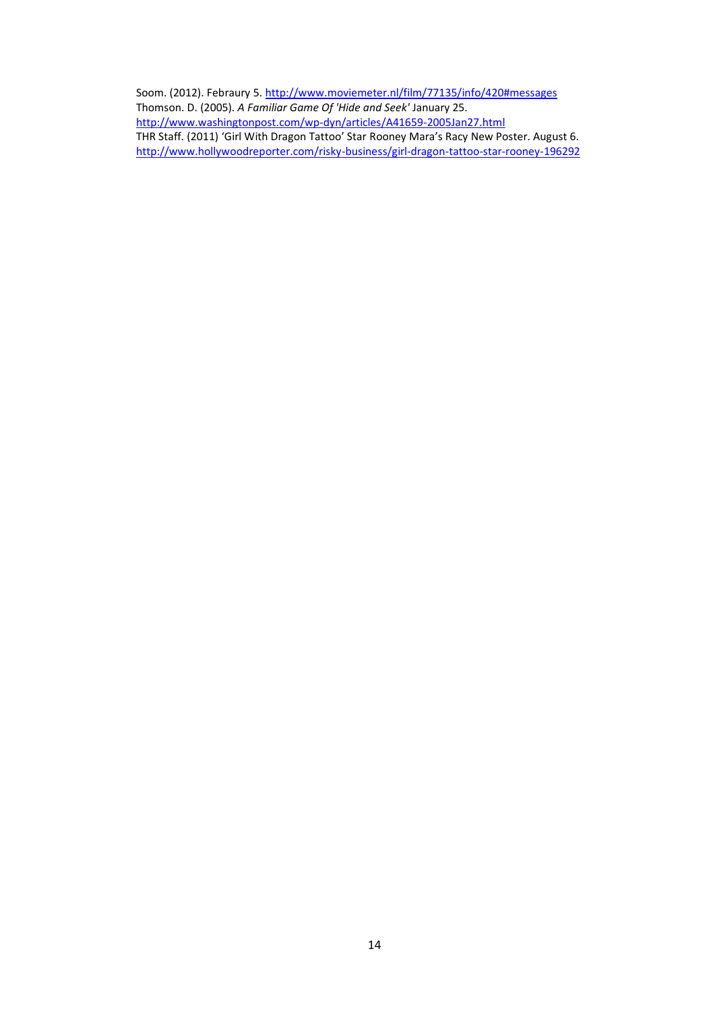Soom. (2012). Febraury 5.<http://www.moviemeter.nl/film/77135/info/420#messages> Thomson. D. (2005). *A Familiar Game Of 'Hide and Seek'* January 25. <http://www.washingtonpost.com/wp-dyn/articles/A41659-2005Jan27.html> THR Staff. (2011) 'Girl With Dragon Tattoo' Star Rooney Mara's Racy New Poster. August 6. <http://www.hollywoodreporter.com/risky-business/girl-dragon-tattoo-star-rooney-196292>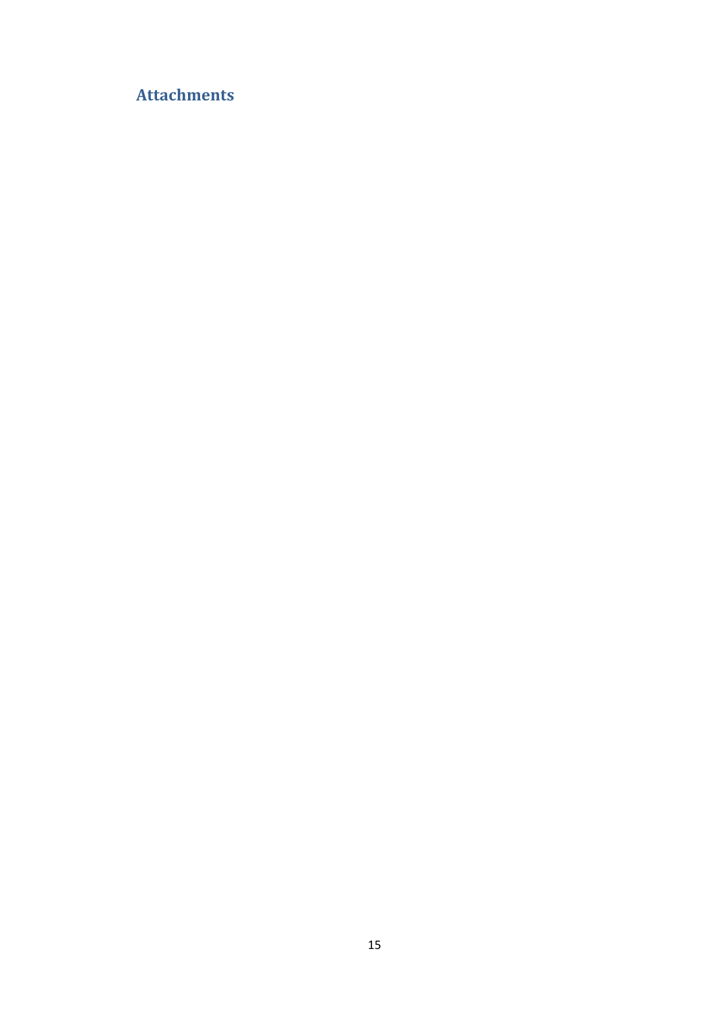# <span id="page-15-0"></span>**Attachments**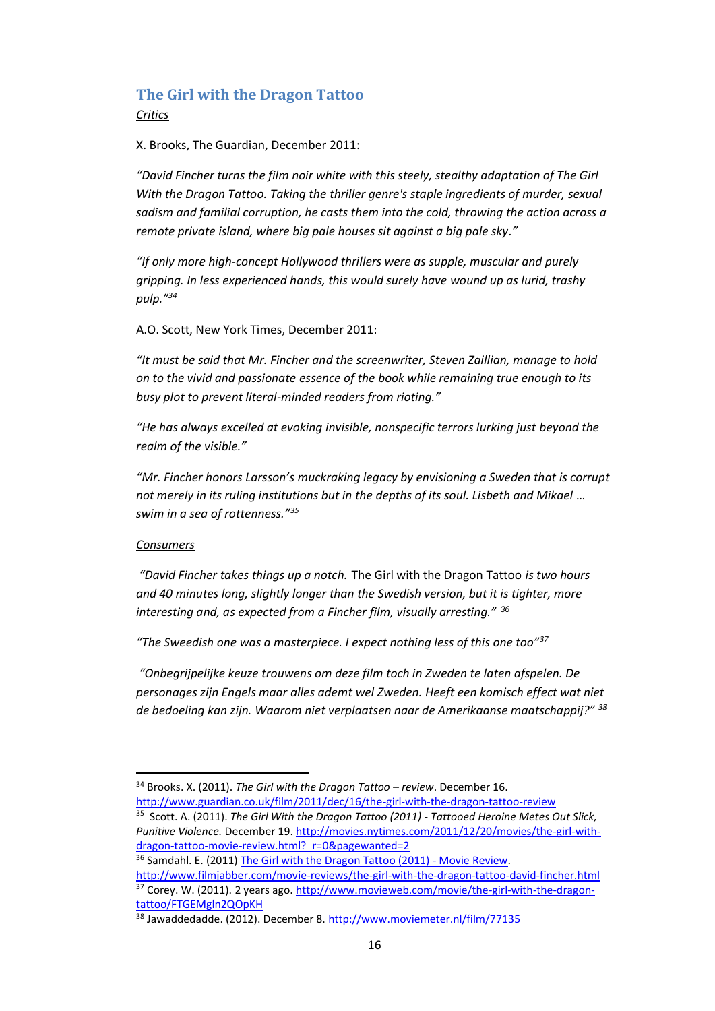# **The Girl with the Dragon Tattoo** *Critics*

X. Brooks, The Guardian, December 2011:

*"[David Fincher](http://www.guardian.co.uk/film/david-fincher) turns the film noir white with this steely, stealthy adaptation of The Girl With the Dragon Tattoo. Taking the [thriller](http://www.guardian.co.uk/film/thriller) genre's staple ingredients of murder, sexual sadism and familial corruption, he casts them into the cold, throwing the action across a remote private island, where big pale houses sit against a big pale sky."*

*"If only more high-concept Hollywood thrillers were as supple, muscular and purely gripping. In less experienced hands, this would surely have wound up as lurid, trashy pulp."<sup>34</sup>*

A.O. Scott, New York Times, December 2011:

*"It must be said that Mr. Fincher and the screenwriter, Steven Zaillian, manage to hold on to the vivid and passionate essence of the book while remaining true enough to its busy plot to prevent literal-minded readers from rioting."*

*"He has always excelled at evoking invisible, nonspecific terrors lurking just beyond the realm of the visible."*

*"Mr. Fincher honors Larsson's muckraking legacy by envisioning a Sweden that is corrupt not merely in its ruling institutions but in the depths of its soul. Lisbeth and Mikael ... swim in a sea of rottenness."<sup>35</sup>*

#### *Consumers*

 $\overline{a}$ 

*"David Fincher takes things up a notch.* The Girl with the Dragon Tattoo *is two hours and 40 minutes long, slightly longer than the Swedish version, but it is tighter, more interesting and, as expected from a Fincher film, visually arresting." <sup>36</sup>*

*"The Sweedish one was a masterpiece. I expect nothing less of this one too"<sup>37</sup>*

*"Onbegrijpelijke keuze trouwens om deze film toch in Zweden te laten afspelen. De personages zijn Engels maar alles ademt wel Zweden. Heeft een komisch effect wat niet de bedoeling kan zijn. Waarom niet verplaatsen naar de Amerikaanse maatschappij?" <sup>38</sup>*

[tattoo/FTGEMgln2QOpKH](http://www.movieweb.com/movie/the-girl-with-the-dragon-tattoo/FTGEMgln2QOpKH)

<sup>34</sup> Brooks. X. (2011). *The Girl with the Dragon Tattoo – review*. December 16.

<http://www.guardian.co.uk/film/2011/dec/16/the-girl-with-the-dragon-tattoo-review> 35 Scott. A. (2011). *The Girl With the Dragon Tattoo (2011) - Tattooed Heroine Metes Out Slick, Punitive Violence.* December 19. [http://movies.nytimes.com/2011/12/20/movies/the-girl-with](http://movies.nytimes.com/2011/12/20/movies/the-girl-with-dragon-tattoo-movie-review.html?_r=0&pagewanted=2)[dragon-tattoo-movie-review.html?\\_r=0&pagewanted=2](http://movies.nytimes.com/2011/12/20/movies/the-girl-with-dragon-tattoo-movie-review.html?_r=0&pagewanted=2)

<sup>&</sup>lt;sup>36</sup> Samdahl. E. (2011) [The Girl with the Dragon Tattoo \(2011\) -](http://www.filmjabber.com/movie-reviews/the-girl-with-the-dragon-tattoo-david-fincher.html) Movie Review. <http://www.filmjabber.com/movie-reviews/the-girl-with-the-dragon-tattoo-david-fincher.html> <sup>37</sup> Corey. W. (2011). 2 years ago[. http://www.movieweb.com/movie/the-girl-with-the-dragon-](http://www.movieweb.com/movie/the-girl-with-the-dragon-tattoo/FTGEMgln2QOpKH)

<sup>38</sup> Jawaddedadde. (2012). December 8.<http://www.moviemeter.nl/film/77135>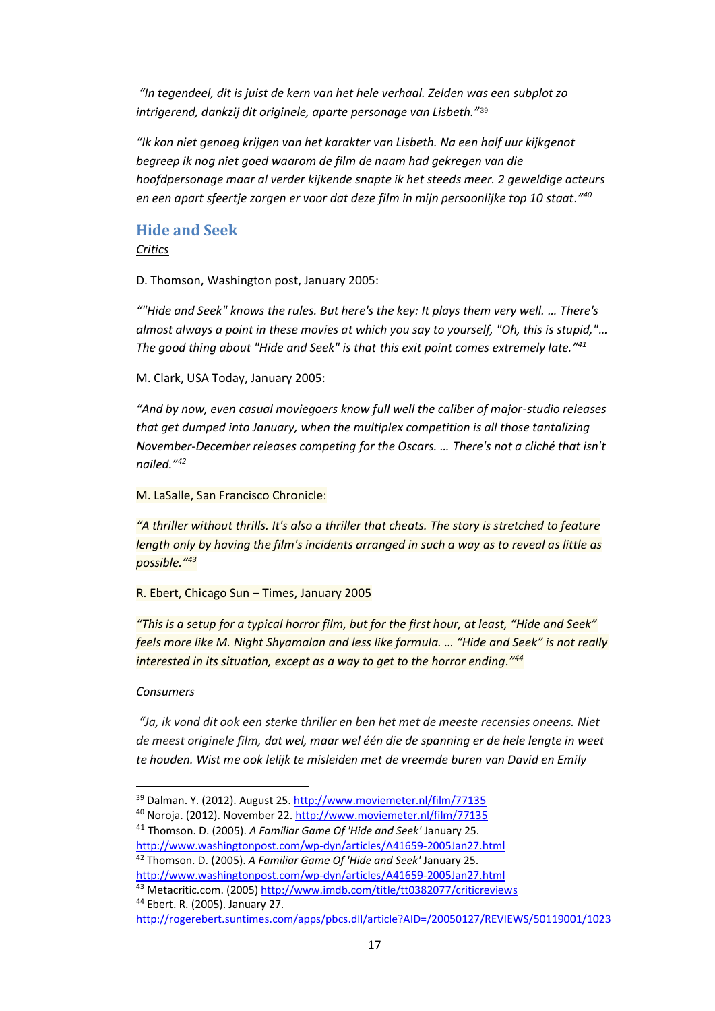*"In tegendeel, dit is juist de kern van het hele verhaal. Zelden was een subplot zo intrigerend, dankzij dit originele, aparte personage van Lisbeth."*<sup>39</sup>

*"Ik kon niet genoeg krijgen van het karakter van Lisbeth. Na een half uur kijkgenot begreep ik nog niet goed waarom de film de naam had gekregen van die hoofdpersonage maar al verder kijkende snapte ik het steeds meer. 2 geweldige acteurs en een apart sfeertje zorgen er voor dat deze film in mijn persoonlijke top 10 staat."<sup>40</sup>*

# **Hide and Seek** *Critics*

D. Thomson, Washington post, January 2005:

*""Hide and Seek" knows the rules. But here's the key: It plays them very well. … There's almost always a point in these movies at which you say to yourself, "Oh, this is stupid,"… The good thing about "Hide and Seek" is that this exit point comes extremely late." 41*

M. Clark, USA Today, January 2005:

*"And by now, even casual moviegoers know full well the caliber of major-studio releases that get dumped into January, when the multiplex competition is all those tantalizing November-December releases competing for the Oscars. … There's not a cliché that isn't nailed."<sup>42</sup>*

M. LaSalle, San Francisco Chronicle:

*"A thriller without thrills. It's also a thriller that cheats. The story is stretched to feature length only by having the film's incidents arranged in such a way as to reveal as little as possible." 43*

R. Ebert, Chicago Sun – Times, January 2005

*"This is a setup for a typical horror film, but for the first hour, at least, "Hide and Seek" feels more like M. Night Shyamalan and less like formula. … "Hide and Seek" is not really interested in its situation, except as a way to get to the horror ending."<sup>44</sup>*

#### *Consumers*

 $\overline{a}$ 

*"Ja, ik vond dit ook een sterke thriller en ben het met de meeste recensies oneens. Niet de meest originele film, dat wel, maar wel één die de spanning er de hele lengte in weet te houden. Wist me ook lelijk te misleiden met de vreemde buren van David en Emily* 

<sup>44</sup> Ebert. R. (2005). January 27.

<sup>39</sup> Dalman. Y. (2012). August 25[. http://www.moviemeter.nl/film/77135](http://www.moviemeter.nl/film/77135)

<sup>&</sup>lt;sup>40</sup> Noroja. (2012). November 22. <http://www.moviemeter.nl/film/77135>

<sup>41</sup> Thomson. D. (2005). *A Familiar Game Of 'Hide and Seek'* January 25.

<http://www.washingtonpost.com/wp-dyn/articles/A41659-2005Jan27.html> <sup>42</sup> Thomson. D. (2005). *A Familiar Game Of 'Hide and Seek'* January 25. <http://www.washingtonpost.com/wp-dyn/articles/A41659-2005Jan27.html>

<sup>43</sup> Metacritic.com. (2005) <http://www.imdb.com/title/tt0382077/criticreviews>

<http://rogerebert.suntimes.com/apps/pbcs.dll/article?AID=/20050127/REVIEWS/50119001/1023>